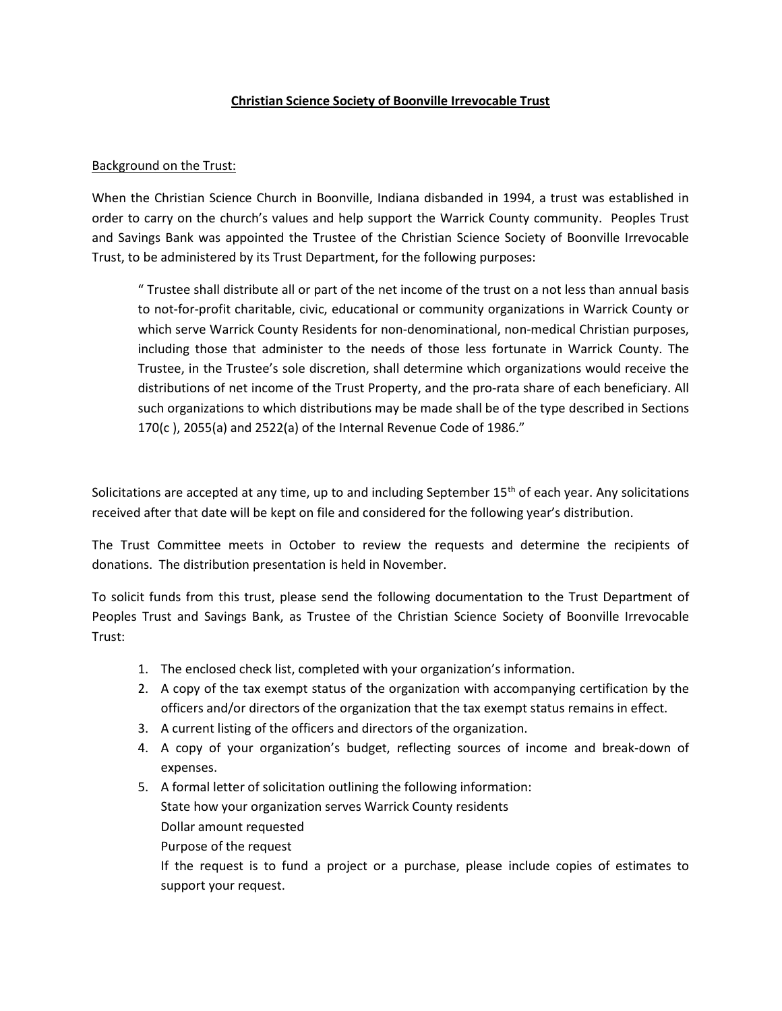## Christian Science Society of Boonville Irrevocable Trust

## Background on the Trust:

When the Christian Science Church in Boonville, Indiana disbanded in 1994, a trust was established in order to carry on the church's values and help support the Warrick County community. Peoples Trust and Savings Bank was appointed the Trustee of the Christian Science Society of Boonville Irrevocable Trust, to be administered by its Trust Department, for the following purposes:

" Trustee shall distribute all or part of the net income of the trust on a not less than annual basis to not-for-profit charitable, civic, educational or community organizations in Warrick County or which serve Warrick County Residents for non-denominational, non-medical Christian purposes, including those that administer to the needs of those less fortunate in Warrick County. The Trustee, in the Trustee's sole discretion, shall determine which organizations would receive the distributions of net income of the Trust Property, and the pro-rata share of each beneficiary. All such organizations to which distributions may be made shall be of the type described in Sections 170(c ), 2055(a) and 2522(a) of the Internal Revenue Code of 1986."

Solicitations are accepted at any time, up to and including September 15<sup>th</sup> of each year. Any solicitations received after that date will be kept on file and considered for the following year's distribution.

The Trust Committee meets in October to review the requests and determine the recipients of donations. The distribution presentation is held in November.

To solicit funds from this trust, please send the following documentation to the Trust Department of Peoples Trust and Savings Bank, as Trustee of the Christian Science Society of Boonville Irrevocable Trust:

- 1. The enclosed check list, completed with your organization's information.
- 2. A copy of the tax exempt status of the organization with accompanying certification by the officers and/or directors of the organization that the tax exempt status remains in effect.
- 3. A current listing of the officers and directors of the organization.
- 4. A copy of your organization's budget, reflecting sources of income and break-down of expenses.
- 5. A formal letter of solicitation outlining the following information: State how your organization serves Warrick County residents Dollar amount requested Purpose of the request If the request is to fund a project or a purchase, please include copies of estimates to support your request.